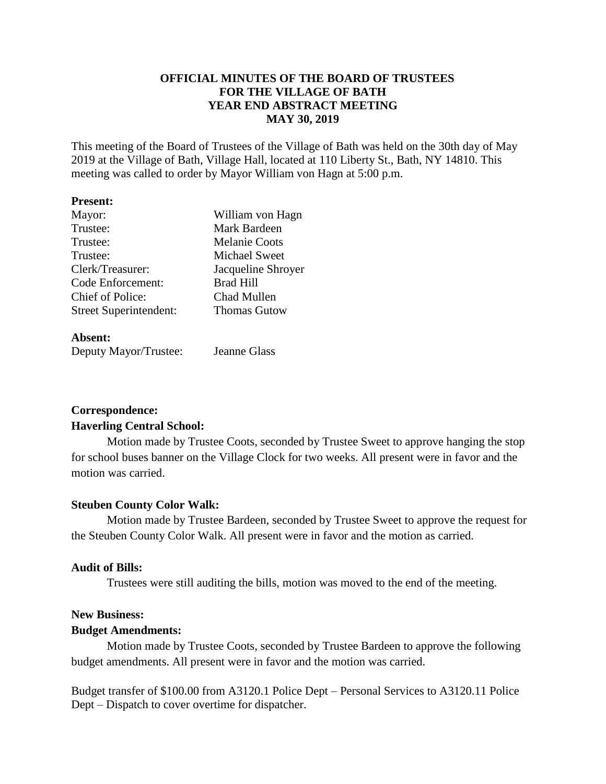### **OFFICIAL MINUTES OF THE BOARD OF TRUSTEES FOR THE VILLAGE OF BATH YEAR END ABSTRACT MEETING MAY 30, 2019**

This meeting of the Board of Trustees of the Village of Bath was held on the 30th day of May 2019 at the Village of Bath, Village Hall, located at 110 Liberty St., Bath, NY 14810. This meeting was called to order by Mayor William von Hagn at 5:00 p.m.

#### **Present:**

| Mayor:                        | William von Hagn     |
|-------------------------------|----------------------|
| Trustee:                      | Mark Bardeen         |
| Trustee:                      | <b>Melanie Coots</b> |
| Trustee:                      | <b>Michael Sweet</b> |
| Clerk/Treasurer:              | Jacqueline Shroyer   |
| Code Enforcement:             | <b>Brad Hill</b>     |
| Chief of Police:              | Chad Mullen          |
| <b>Street Superintendent:</b> | <b>Thomas Gutow</b>  |
|                               |                      |

#### **Absent:**

| ------------          |              |
|-----------------------|--------------|
| Deputy Mayor/Trustee: | Jeanne Glass |

# **Correspondence: Haverling Central School:**

Motion made by Trustee Coots, seconded by Trustee Sweet to approve hanging the stop for school buses banner on the Village Clock for two weeks. All present were in favor and the motion was carried.

### **Steuben County Color Walk:**

Motion made by Trustee Bardeen, seconded by Trustee Sweet to approve the request for the Steuben County Color Walk. All present were in favor and the motion as carried.

### **Audit of Bills:**

Trustees were still auditing the bills, motion was moved to the end of the meeting.

### **New Business:**

### **Budget Amendments:**

Motion made by Trustee Coots, seconded by Trustee Bardeen to approve the following budget amendments. All present were in favor and the motion was carried.

Budget transfer of \$100.00 from A3120.1 Police Dept – Personal Services to A3120.11 Police Dept – Dispatch to cover overtime for dispatcher.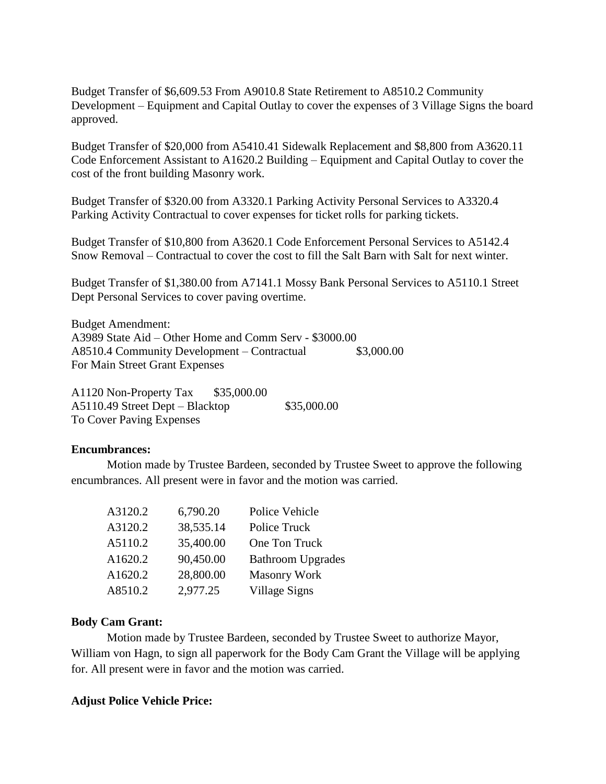Budget Transfer of \$6,609.53 From A9010.8 State Retirement to A8510.2 Community Development – Equipment and Capital Outlay to cover the expenses of 3 Village Signs the board approved.

Budget Transfer of \$20,000 from A5410.41 Sidewalk Replacement and \$8,800 from A3620.11 Code Enforcement Assistant to A1620.2 Building – Equipment and Capital Outlay to cover the cost of the front building Masonry work.

Budget Transfer of \$320.00 from A3320.1 Parking Activity Personal Services to A3320.4 Parking Activity Contractual to cover expenses for ticket rolls for parking tickets.

Budget Transfer of \$10,800 from A3620.1 Code Enforcement Personal Services to A5142.4 Snow Removal – Contractual to cover the cost to fill the Salt Barn with Salt for next winter.

Budget Transfer of \$1,380.00 from A7141.1 Mossy Bank Personal Services to A5110.1 Street Dept Personal Services to cover paving overtime.

Budget Amendment: A3989 State Aid – Other Home and Comm Serv - \$3000.00 A8510.4 Community Development – Contractual \$3,000.00 For Main Street Grant Expenses

A1120 Non-Property Tax \$35,000.00 A5110.49 Street Dept – Blacktop \$35,000.00 To Cover Paving Expenses

### **Encumbrances:**

Motion made by Trustee Bardeen, seconded by Trustee Sweet to approve the following encumbrances. All present were in favor and the motion was carried.

| A3120.2 | 6,790.20  | Police Vehicle           |
|---------|-----------|--------------------------|
| A3120.2 | 38,535.14 | Police Truck             |
| A5110.2 | 35,400.00 | One Ton Truck            |
| A1620.2 | 90,450.00 | <b>Bathroom Upgrades</b> |
| A1620.2 | 28,800.00 | <b>Masonry Work</b>      |
| A8510.2 | 2,977.25  | Village Signs            |

#### **Body Cam Grant:**

Motion made by Trustee Bardeen, seconded by Trustee Sweet to authorize Mayor, William von Hagn, to sign all paperwork for the Body Cam Grant the Village will be applying for. All present were in favor and the motion was carried.

#### **Adjust Police Vehicle Price:**